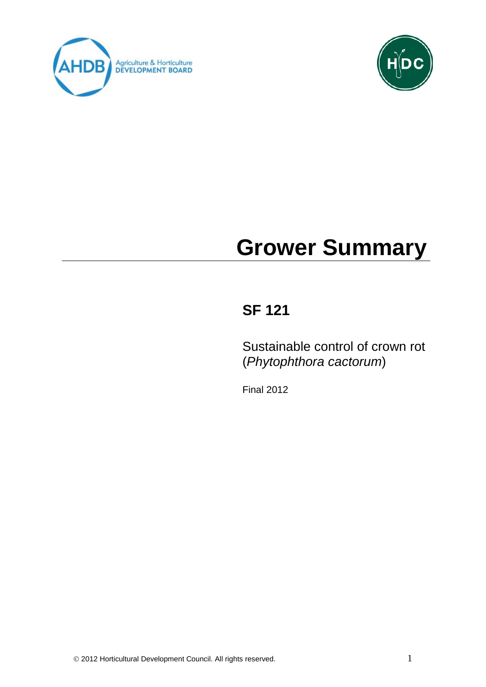



# **Grower Summary**

# **SF 121**

Sustainable control of crown rot (*Phytophthora cactorum*)

Final 2012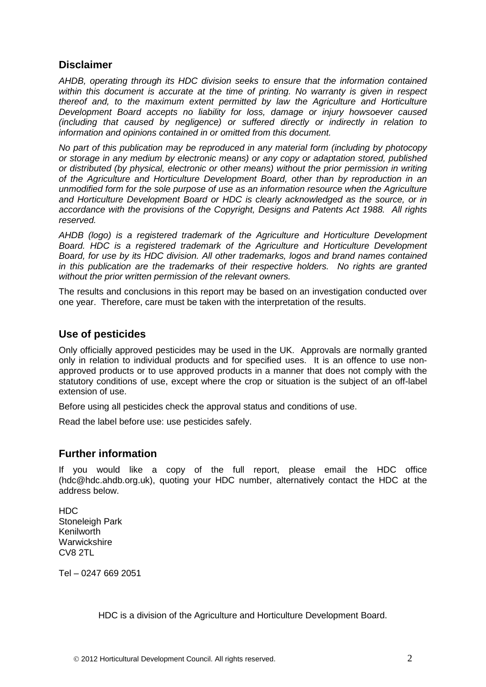# **Disclaimer**

*AHDB, operating through its HDC division seeks to ensure that the information contained within this document is accurate at the time of printing. No warranty is given in respect thereof and, to the maximum extent permitted by law the Agriculture and Horticulture Development Board accepts no liability for loss, damage or injury howsoever caused (including that caused by negligence) or suffered directly or indirectly in relation to information and opinions contained in or omitted from this document.* 

*No part of this publication may be reproduced in any material form (including by photocopy or storage in any medium by electronic means) or any copy or adaptation stored, published or distributed (by physical, electronic or other means) without the prior permission in writing of the Agriculture and Horticulture Development Board, other than by reproduction in an unmodified form for the sole purpose of use as an information resource when the Agriculture and Horticulture Development Board or HDC is clearly acknowledged as the source, or in accordance with the provisions of the Copyright, Designs and Patents Act 1988. All rights reserved.* 

*AHDB (logo) is a registered trademark of the Agriculture and Horticulture Development Board. HDC is a registered trademark of the Agriculture and Horticulture Development Board, for use by its HDC division. All other trademarks, logos and brand names contained in this publication are the trademarks of their respective holders. No rights are granted without the prior written permission of the relevant owners.*

The results and conclusions in this report may be based on an investigation conducted over one year. Therefore, care must be taken with the interpretation of the results.

#### **Use of pesticides**

Only officially approved pesticides may be used in the UK. Approvals are normally granted only in relation to individual products and for specified uses. It is an offence to use nonapproved products or to use approved products in a manner that does not comply with the statutory conditions of use, except where the crop or situation is the subject of an off-label extension of use.

Before using all pesticides check the approval status and conditions of use.

Read the label before use: use pesticides safely.

## **Further information**

If you would like a copy of the full report, please email the HDC office (hdc@hdc.ahdb.org.uk), quoting your HDC number, alternatively contact the HDC at the address below.

HDC Stoneleigh Park Kenilworth **Warwickshire** CV8 2TL

Tel – 0247 669 2051

HDC is a division of the Agriculture and Horticulture Development Board.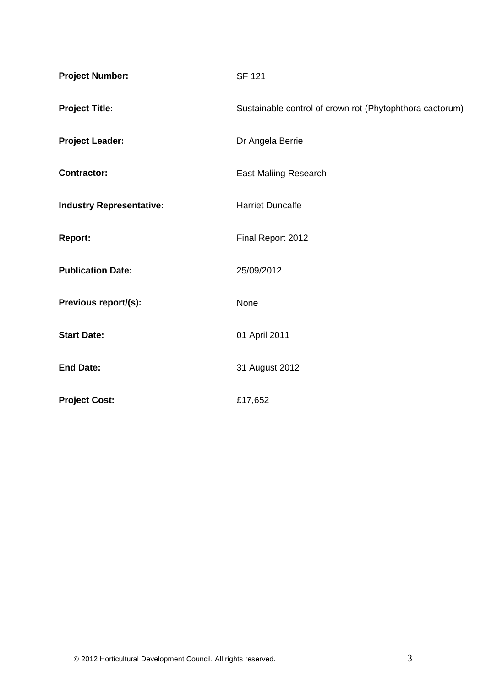| <b>Project Number:</b>          | <b>SF 121</b>                                            |  |  |
|---------------------------------|----------------------------------------------------------|--|--|
| <b>Project Title:</b>           | Sustainable control of crown rot (Phytophthora cactorum) |  |  |
| <b>Project Leader:</b>          | Dr Angela Berrie                                         |  |  |
| <b>Contractor:</b>              | <b>East Maliing Research</b>                             |  |  |
| <b>Industry Representative:</b> | <b>Harriet Duncalfe</b>                                  |  |  |
| <b>Report:</b>                  | Final Report 2012                                        |  |  |
| <b>Publication Date:</b>        | 25/09/2012                                               |  |  |
| Previous report/(s):            | None                                                     |  |  |
| <b>Start Date:</b>              | 01 April 2011                                            |  |  |
| <b>End Date:</b>                | 31 August 2012                                           |  |  |
| <b>Project Cost:</b>            | £17,652                                                  |  |  |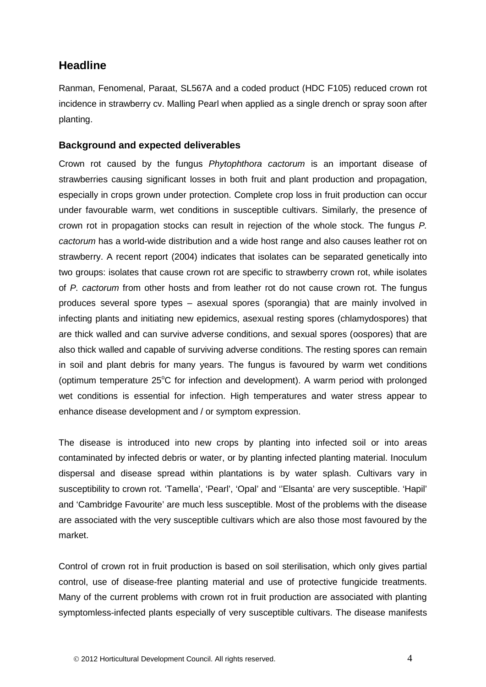# **Headline**

Ranman, Fenomenal, Paraat, SL567A and a coded product (HDC F105) reduced crown rot incidence in strawberry cv. Malling Pearl when applied as a single drench or spray soon after planting.

#### **Background and expected deliverables**

Crown rot caused by the fungus *Phytophthora cactorum* is an important disease of strawberries causing significant losses in both fruit and plant production and propagation, especially in crops grown under protection. Complete crop loss in fruit production can occur under favourable warm, wet conditions in susceptible cultivars. Similarly, the presence of crown rot in propagation stocks can result in rejection of the whole stock. The fungus *P. cactorum* has a world-wide distribution and a wide host range and also causes leather rot on strawberry. A recent report (2004) indicates that isolates can be separated genetically into two groups: isolates that cause crown rot are specific to strawberry crown rot, while isolates of *P. cactorum* from other hosts and from leather rot do not cause crown rot. The fungus produces several spore types – asexual spores (sporangia) that are mainly involved in infecting plants and initiating new epidemics, asexual resting spores (chlamydospores) that are thick walled and can survive adverse conditions, and sexual spores (oospores) that are also thick walled and capable of surviving adverse conditions. The resting spores can remain in soil and plant debris for many years. The fungus is favoured by warm wet conditions (optimum temperature 25°C for infection and development). A warm period with prolonged wet conditions is essential for infection. High temperatures and water stress appear to enhance disease development and / or symptom expression.

The disease is introduced into new crops by planting into infected soil or into areas contaminated by infected debris or water, or by planting infected planting material. Inoculum dispersal and disease spread within plantations is by water splash. Cultivars vary in susceptibility to crown rot. 'Tamella', 'Pearl', 'Opal' and ''Elsanta' are very susceptible. 'Hapil' and 'Cambridge Favourite' are much less susceptible. Most of the problems with the disease are associated with the very susceptible cultivars which are also those most favoured by the market.

Control of crown rot in fruit production is based on soil sterilisation, which only gives partial control, use of disease-free planting material and use of protective fungicide treatments. Many of the current problems with crown rot in fruit production are associated with planting symptomless-infected plants especially of very susceptible cultivars. The disease manifests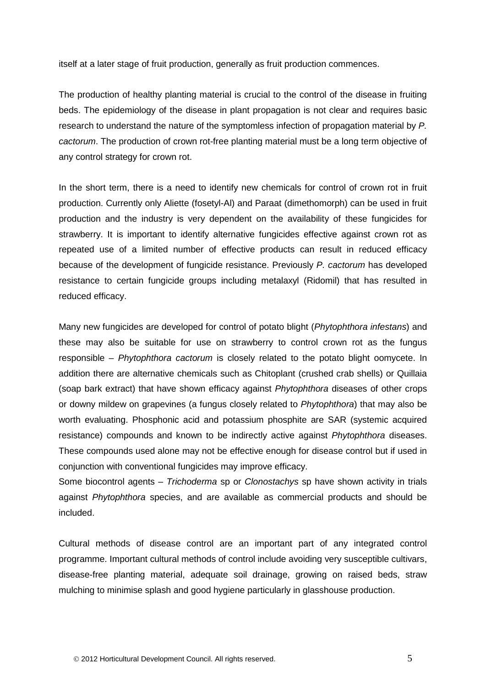itself at a later stage of fruit production, generally as fruit production commences.

The production of healthy planting material is crucial to the control of the disease in fruiting beds. The epidemiology of the disease in plant propagation is not clear and requires basic research to understand the nature of the symptomless infection of propagation material by *P. cactorum*. The production of crown rot-free planting material must be a long term objective of any control strategy for crown rot.

In the short term, there is a need to identify new chemicals for control of crown rot in fruit production. Currently only Aliette (fosetyl-Al) and Paraat (dimethomorph) can be used in fruit production and the industry is very dependent on the availability of these fungicides for strawberry. It is important to identify alternative fungicides effective against crown rot as repeated use of a limited number of effective products can result in reduced efficacy because of the development of fungicide resistance. Previously *P. cactorum* has developed resistance to certain fungicide groups including metalaxyl (Ridomil) that has resulted in reduced efficacy.

Many new fungicides are developed for control of potato blight (*Phytophthora infestans*) and these may also be suitable for use on strawberry to control crown rot as the fungus responsible – *Phytophthora cactorum* is closely related to the potato blight oomycete. In addition there are alternative chemicals such as Chitoplant (crushed crab shells) or Quillaia (soap bark extract) that have shown efficacy against *Phytophthora* diseases of other crops or downy mildew on grapevines (a fungus closely related to *Phytophthora*) that may also be worth evaluating. Phosphonic acid and potassium phosphite are SAR (systemic acquired resistance) compounds and known to be indirectly active against *Phytophthora* diseases. These compounds used alone may not be effective enough for disease control but if used in conjunction with conventional fungicides may improve efficacy.

Some biocontrol agents – *Trichoderma* sp or *Clonostachys* sp have shown activity in trials against *Phytophthora* species, and are available as commercial products and should be included.

Cultural methods of disease control are an important part of any integrated control programme. Important cultural methods of control include avoiding very susceptible cultivars, disease-free planting material, adequate soil drainage, growing on raised beds, straw mulching to minimise splash and good hygiene particularly in glasshouse production.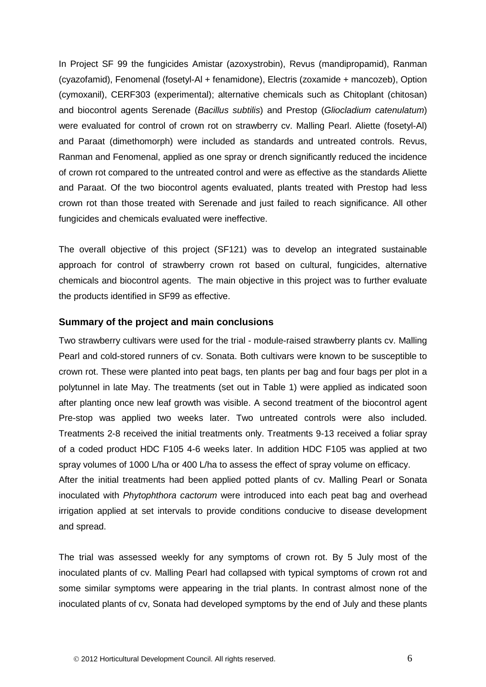In Project SF 99 the fungicides Amistar (azoxystrobin), Revus (mandipropamid), Ranman (cyazofamid), Fenomenal (fosetyl-Al + fenamidone), Electris (zoxamide + mancozeb), Option (cymoxanil), CERF303 (experimental); alternative chemicals such as Chitoplant (chitosan) and biocontrol agents Serenade (*Bacillus subtilis*) and Prestop (*Gliocladium catenulatum*) were evaluated for control of crown rot on strawberry cv. Malling Pearl. Aliette (fosetyl-Al) and Paraat (dimethomorph) were included as standards and untreated controls. Revus, Ranman and Fenomenal, applied as one spray or drench significantly reduced the incidence of crown rot compared to the untreated control and were as effective as the standards Aliette and Paraat. Of the two biocontrol agents evaluated, plants treated with Prestop had less crown rot than those treated with Serenade and just failed to reach significance. All other fungicides and chemicals evaluated were ineffective.

The overall objective of this project (SF121) was to develop an integrated sustainable approach for control of strawberry crown rot based on cultural, fungicides, alternative chemicals and biocontrol agents. The main objective in this project was to further evaluate the products identified in SF99 as effective.

#### **Summary of the project and main conclusions**

Two strawberry cultivars were used for the trial - module-raised strawberry plants cv. Malling Pearl and cold-stored runners of cv. Sonata. Both cultivars were known to be susceptible to crown rot. These were planted into peat bags, ten plants per bag and four bags per plot in a polytunnel in late May. The treatments (set out in Table 1) were applied as indicated soon after planting once new leaf growth was visible. A second treatment of the biocontrol agent Pre-stop was applied two weeks later. Two untreated controls were also included. Treatments 2-8 received the initial treatments only. Treatments 9-13 received a foliar spray of a coded product HDC F105 4-6 weeks later. In addition HDC F105 was applied at two spray volumes of 1000 L/ha or 400 L/ha to assess the effect of spray volume on efficacy. After the initial treatments had been applied potted plants of cv. Malling Pearl or Sonata

inoculated with *Phytophthora cactorum* were introduced into each peat bag and overhead irrigation applied at set intervals to provide conditions conducive to disease development and spread.

The trial was assessed weekly for any symptoms of crown rot. By 5 July most of the inoculated plants of cv. Malling Pearl had collapsed with typical symptoms of crown rot and some similar symptoms were appearing in the trial plants. In contrast almost none of the inoculated plants of cv, Sonata had developed symptoms by the end of July and these plants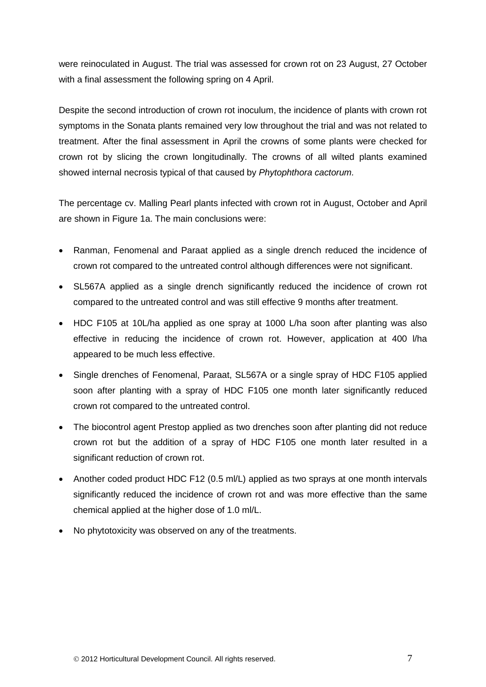were reinoculated in August. The trial was assessed for crown rot on 23 August, 27 October with a final assessment the following spring on 4 April.

Despite the second introduction of crown rot inoculum, the incidence of plants with crown rot symptoms in the Sonata plants remained very low throughout the trial and was not related to treatment. After the final assessment in April the crowns of some plants were checked for crown rot by slicing the crown longitudinally. The crowns of all wilted plants examined showed internal necrosis typical of that caused by *Phytophthora cactorum.*

The percentage cv. Malling Pearl plants infected with crown rot in August, October and April are shown in Figure 1a. The main conclusions were:

- Ranman, Fenomenal and Paraat applied as a single drench reduced the incidence of crown rot compared to the untreated control although differences were not significant.
- SL567A applied as a single drench significantly reduced the incidence of crown rot compared to the untreated control and was still effective 9 months after treatment.
- HDC F105 at 10L/ha applied as one spray at 1000 L/ha soon after planting was also effective in reducing the incidence of crown rot. However, application at 400 l/ha appeared to be much less effective.
- Single drenches of Fenomenal, Paraat, SL567A or a single spray of HDC F105 applied soon after planting with a spray of HDC F105 one month later significantly reduced crown rot compared to the untreated control.
- The biocontrol agent Prestop applied as two drenches soon after planting did not reduce crown rot but the addition of a spray of HDC F105 one month later resulted in a significant reduction of crown rot.
- Another coded product HDC F12 (0.5 ml/L) applied as two sprays at one month intervals significantly reduced the incidence of crown rot and was more effective than the same chemical applied at the higher dose of 1.0 ml/L.
- No phytotoxicity was observed on any of the treatments.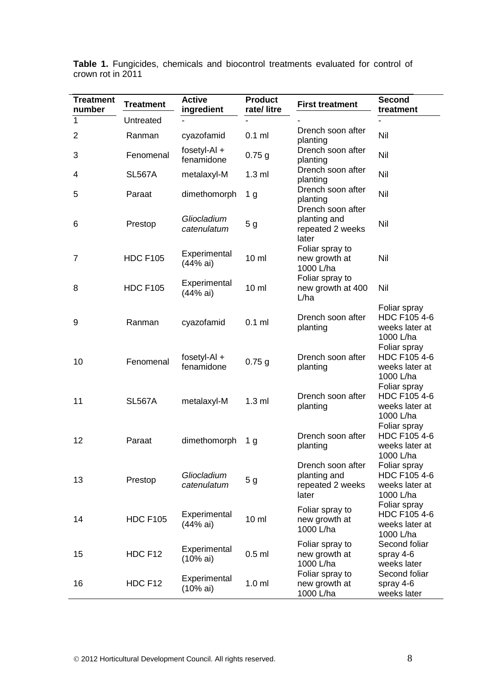| <b>Treatment</b><br>number | <b>Treatment</b> | <b>Active</b><br>ingredient  | <b>Product</b><br>rate/litre | <b>First treatment</b>                                         | <b>Second</b><br>treatment                                  |
|----------------------------|------------------|------------------------------|------------------------------|----------------------------------------------------------------|-------------------------------------------------------------|
| $\mathbf 1$                | Untreated        |                              |                              |                                                                |                                                             |
| $\overline{2}$             | Ranman           | cyazofamid                   | $0.1$ ml                     | Drench soon after<br>planting                                  | Nil                                                         |
| 3                          | Fenomenal        | fosetyl-Al $+$<br>fenamidone | $0.75$ g                     | Drench soon after<br>planting                                  | Nil                                                         |
| 4                          | <b>SL567A</b>    | metalaxyl-M                  | $1.3$ ml                     | Drench soon after<br>planting                                  | Nil                                                         |
| 5                          | Paraat           | dimethomorph                 | 1 <sub>g</sub>               | Drench soon after<br>planting                                  | Nil                                                         |
| 6                          | Prestop          | Gliocladium<br>catenulatum   | 5 <sub>g</sub>               | Drench soon after<br>planting and<br>repeated 2 weeks<br>later | Nil                                                         |
| $\overline{7}$             | <b>HDC F105</b>  | Experimental<br>(44% ai)     | $10 \mathrm{m}$              | Foliar spray to<br>new growth at<br>1000 L/ha                  | Nil                                                         |
| 8                          | <b>HDC F105</b>  | Experimental<br>(44% ai)     | $10 \mathrm{m}$              | Foliar spray to<br>new growth at 400<br>L/ha                   | Nil                                                         |
| 9                          | Ranman           | cyazofamid                   | $0.1$ ml                     | Drench soon after<br>planting                                  | Foliar spray<br>HDC F105 4-6<br>weeks later at<br>1000 L/ha |
| 10                         | Fenomenal        | fosetyl-Al $+$<br>fenamidone | $0.75$ g                     | Drench soon after<br>planting                                  | Foliar spray<br>HDC F105 4-6<br>weeks later at<br>1000 L/ha |
| 11                         | <b>SL567A</b>    | metalaxyl-M                  | $1.3$ ml                     | Drench soon after<br>planting                                  | Foliar spray<br>HDC F105 4-6<br>weeks later at<br>1000 L/ha |
| 12                         | Paraat           | dimethomorph                 | 1 <sub>g</sub>               | Drench soon after<br>planting                                  | Foliar spray<br>HDC F105 4-6<br>weeks later at<br>1000 L/ha |
| 13                         | Prestop          | Gliocladium<br>catenulatum   | 5 <sub>g</sub>               | Drench soon after<br>planting and<br>repeated 2 weeks<br>later | Foliar spray<br>HDC F105 4-6<br>weeks later at<br>1000 L/ha |
| 14                         | <b>HDC F105</b>  | Experimental<br>(44% ai)     | $10 \mathrm{m}$              | Foliar spray to<br>new growth at<br>1000 L/ha                  | Foliar spray<br>HDC F105 4-6<br>weeks later at<br>1000 L/ha |
| 15                         | HDC F12          | Experimental<br>(10% ai)     | $0.5$ ml                     | Foliar spray to<br>new growth at<br>1000 L/ha                  | Second foliar<br>spray 4-6<br>weeks later                   |
| 16                         | HDC F12          | Experimental<br>(10% ai)     | 1.0 <sub>m</sub>             | Foliar spray to<br>new growth at<br>1000 L/ha                  | Second foliar<br>spray 4-6<br>weeks later                   |

**Table 1.** Fungicides, chemicals and biocontrol treatments evaluated for control of crown rot in 2011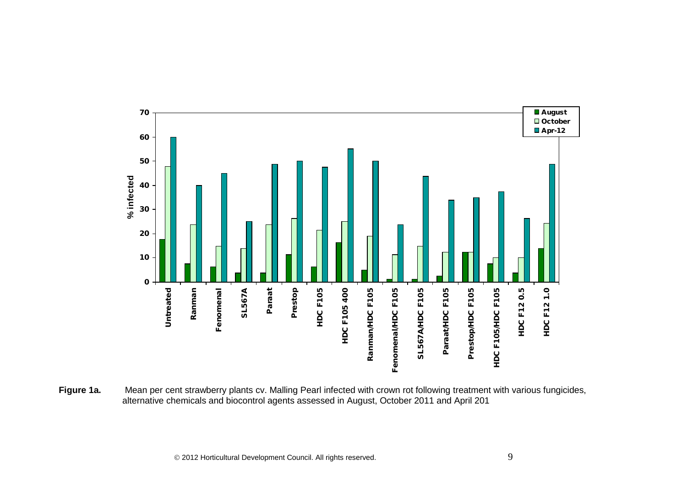

Figure 1a. Mean per cent strawberry plants cv. Malling Pearl infected with crown rot following treatment with various fungicides, alternative chemicals and biocontrol agents assessed in August, October 2011 and April 201